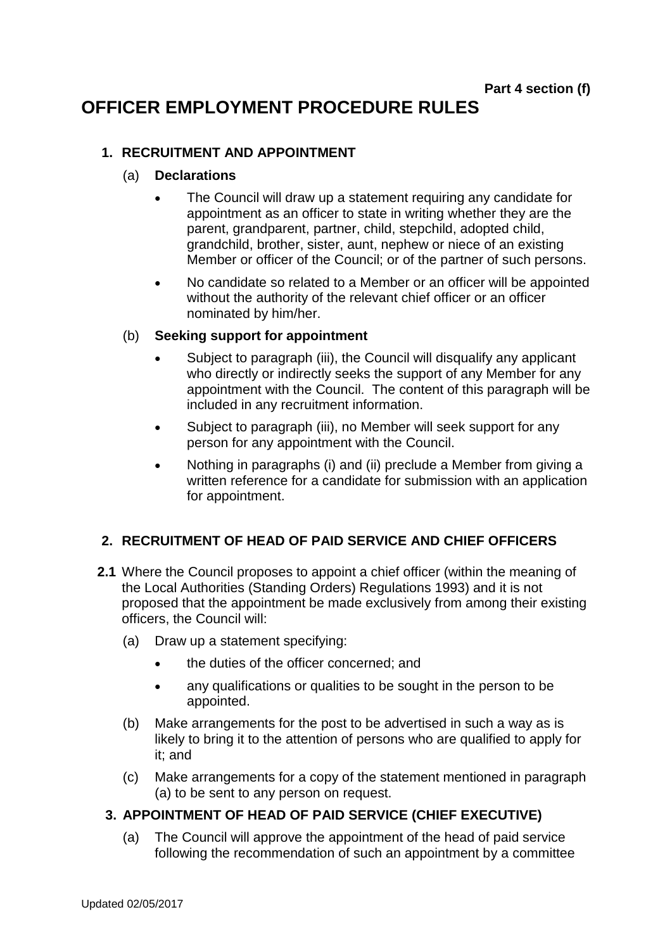# **OFFICER EMPLOYMENT PROCEDURE RULES**

#### **1. RECRUITMENT AND APPOINTMENT**

#### (a) **Declarations**

- The Council will draw up a statement requiring any candidate for appointment as an officer to state in writing whether they are the parent, grandparent, partner, child, stepchild, adopted child, grandchild, brother, sister, aunt, nephew or niece of an existing Member or officer of the Council; or of the partner of such persons.
- No candidate so related to a Member or an officer will be appointed without the authority of the relevant chief officer or an officer nominated by him/her.

#### (b) **Seeking support for appointment**

- Subject to paragraph (iii), the Council will disqualify any applicant who directly or indirectly seeks the support of any Member for any appointment with the Council. The content of this paragraph will be included in any recruitment information.
- Subject to paragraph (iii), no Member will seek support for any person for any appointment with the Council.
- Nothing in paragraphs (i) and (ii) preclude a Member from giving a written reference for a candidate for submission with an application for appointment.

## **2. RECRUITMENT OF HEAD OF PAID SERVICE AND CHIEF OFFICERS**

- **2.1** Where the Council proposes to appoint a chief officer (within the meaning of the Local Authorities (Standing Orders) Regulations 1993) and it is not proposed that the appointment be made exclusively from among their existing officers, the Council will:
	- (a) Draw up a statement specifying:
		- the duties of the officer concerned; and
		- any qualifications or qualities to be sought in the person to be appointed.
	- (b) Make arrangements for the post to be advertised in such a way as is likely to bring it to the attention of persons who are qualified to apply for it; and
	- (c) Make arrangements for a copy of the statement mentioned in paragraph (a) to be sent to any person on request.

## **3. APPOINTMENT OF HEAD OF PAID SERVICE (CHIEF EXECUTIVE)**

(a) The Council will approve the appointment of the head of paid service following the recommendation of such an appointment by a committee